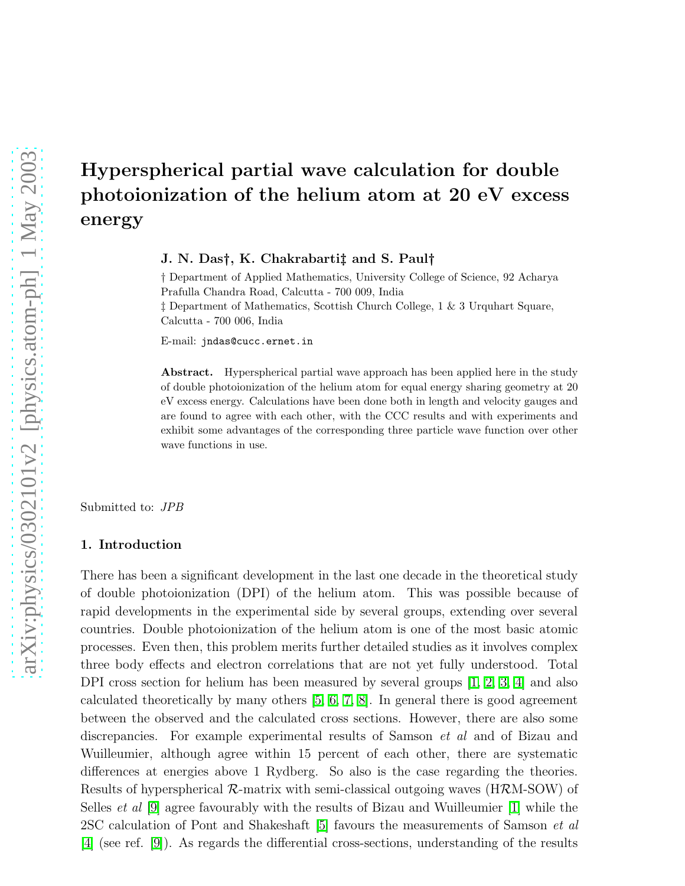# Hyperspherical partial wave calculation for double photoionization of the helium atom at 20 eV excess energy

J. N. Das†, K. Chakrabarti‡ and S. Paul†

† Department of Applied Mathematics, University College of Science, 92 Acharya Prafulla Chandra Road, Calcutta - 700 009, India ‡ Department of Mathematics, Scottish Church College, 1 & 3 Urquhart Square, Calcutta - 700 006, India

E-mail: jndas@cucc.ernet.in

Abstract. Hyperspherical partial wave approach has been applied here in the study of double photoionization of the helium atom for equal energy sharing geometry at 20 eV excess energy. Calculations have been done both in length and velocity gauges and are found to agree with each other, with the CCC results and with experiments and exhibit some advantages of the corresponding three particle wave function over other wave functions in use.

Submitted to: JPB

#### 1. Introduction

There has been a significant development in the last one decade in the theoretical study of double photoionization (DPI) of the helium atom. This was possible because of rapid developments in the experimental side by several groups, extending over several countries. Double photoionization of the helium atom is one of the most basic atomic processes. Even then, this problem merits further detailed studies as it involves complex three body effects and electron correlations that are not yet fully understood. Total DPI cross section for helium has been measured by several groups [\[1,](#page-9-0) [2,](#page-9-1) [3,](#page-9-2) [4\]](#page-9-3) and also calculated theoretically by many others [\[5,](#page-9-4) [6,](#page-9-5) [7,](#page-9-6) [8\]](#page-9-7). In general there is good agreement between the observed and the calculated cross sections. However, there are also some discrepancies. For example experimental results of Samson et al and of Bizau and Wuilleumier, although agree within 15 percent of each other, there are systematic differences at energies above 1 Rydberg. So also is the case regarding the theories. Results of hyperspherical  $\mathcal{R}$ -matrix with semi-classical outgoing waves (H $\mathcal{R}$ M-SOW) of Selles et al [\[9\]](#page-9-8) agree favourably with the results of Bizau and Wuilleumier [\[1\]](#page-9-0) while the 2SC calculation of Pont and Shakeshaft [\[5\]](#page-9-4) favours the measurements of Samson et al [\[4\]](#page-9-3) (see ref. [\[9\]](#page-9-8)). As regards the differential cross-sections, understanding of the results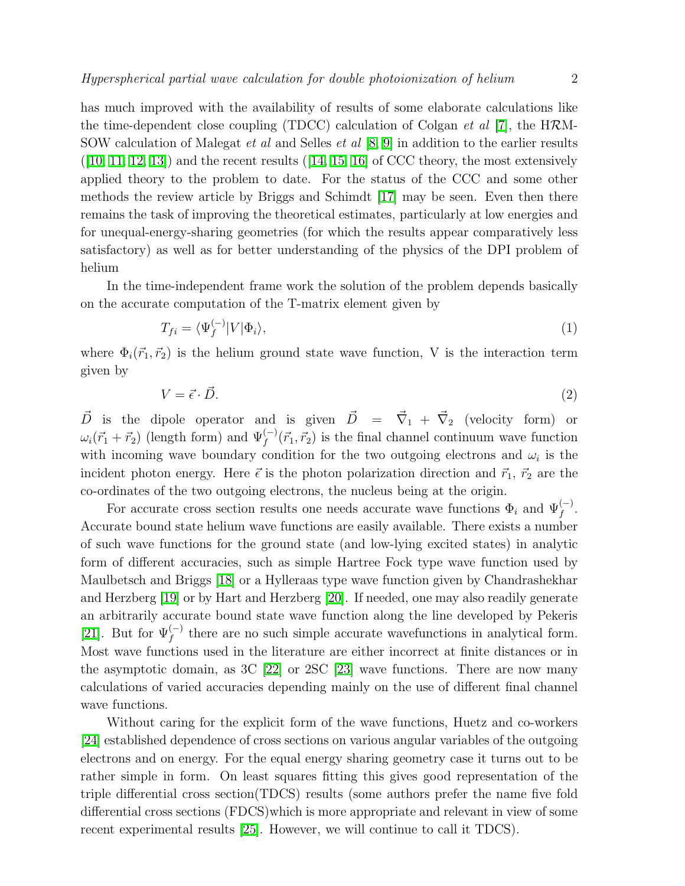has much improved with the availability of results of some elaborate calculations like the time-dependent close coupling (TDCC) calculation of Colgan *et al* [\[7\]](#page-9-6), the HRM-SOW calculation of Malegat et al and Selles et al [\[8,](#page-9-7) [9\]](#page-9-8) in addition to the earlier results  $([10, 11, 12, 13])$  $([10, 11, 12, 13])$  $([10, 11, 12, 13])$  $([10, 11, 12, 13])$  $([10, 11, 12, 13])$  $([10, 11, 12, 13])$  and the recent results  $([14, 15, 16]$  $([14, 15, 16]$  $([14, 15, 16]$  $([14, 15, 16]$  of CCC theory, the most extensively applied theory to the problem to date. For the status of the CCC and some other methods the review article by Briggs and Schimdt [\[17\]](#page-9-16) may be seen. Even then there remains the task of improving the theoretical estimates, particularly at low energies and for unequal-energy-sharing geometries (for which the results appear comparatively less satisfactory) as well as for better understanding of the physics of the DPI problem of helium

In the time-independent frame work the solution of the problem depends basically on the accurate computation of the T-matrix element given by

$$
T_{fi} = \langle \Psi_f^{(-)} | V | \Phi_i \rangle,\tag{1}
$$

where  $\Phi_i(\vec{r}_1, \vec{r}_2)$  is the helium ground state wave function, V is the interaction term given by

$$
V = \vec{\epsilon} \cdot \vec{D}.\tag{2}
$$

 $\vec{D}$  is the dipole operator and is given  $\vec{D} = \vec{\nabla}_1 + \vec{\nabla}_2$  (velocity form) or  $\omega_i(\vec{r}_1 + \vec{r}_2)$  (length form) and  $\Psi_f^{(-)}(\vec{r}_1, \vec{r}_2)$  is the final channel continuum wave function with incoming wave boundary condition for the two outgoing electrons and  $\omega_i$  is the incident photon energy. Here  $\vec{\epsilon}$  is the photon polarization direction and  $\vec{r}_1$ ,  $\vec{r}_2$  are the co-ordinates of the two outgoing electrons, the nucleus being at the origin.

For accurate cross section results one needs accurate wave functions  $\Phi_i$  and  $\Psi_f^{(-)}$ . Accurate bound state helium wave functions are easily available. There exists a number of such wave functions for the ground state (and low-lying excited states) in analytic form of different accuracies, such as simple Hartree Fock type wave function used by Maulbetsch and Briggs [\[18\]](#page-9-17) or a Hylleraas type wave function given by Chandrashekhar and Herzberg [\[19\]](#page-9-18) or by Hart and Herzberg [\[20\]](#page-9-19). If needed, one may also readily generate an arbitrarily accurate bound state wave function along the line developed by Pekeris [\[21\]](#page-9-20). But for  $\Psi_f^{(-)}$  there are no such simple accurate wavefunctions in analytical form. Most wave functions used in the literature are either incorrect at finite distances or in the asymptotic domain, as  $3C$  [\[22\]](#page-9-21) or  $2SC$  [\[23\]](#page-9-22) wave functions. There are now many calculations of varied accuracies depending mainly on the use of different final channel wave functions.

Without caring for the explicit form of the wave functions, Huetz and co-workers [\[24\]](#page-9-23) established dependence of cross sections on various angular variables of the outgoing electrons and on energy. For the equal energy sharing geometry case it turns out to be rather simple in form. On least squares fitting this gives good representation of the triple differential cross section(TDCS) results (some authors prefer the name five fold differential cross sections (FDCS)which is more appropriate and relevant in view of some recent experimental results [\[25\]](#page-9-24). However, we will continue to call it TDCS).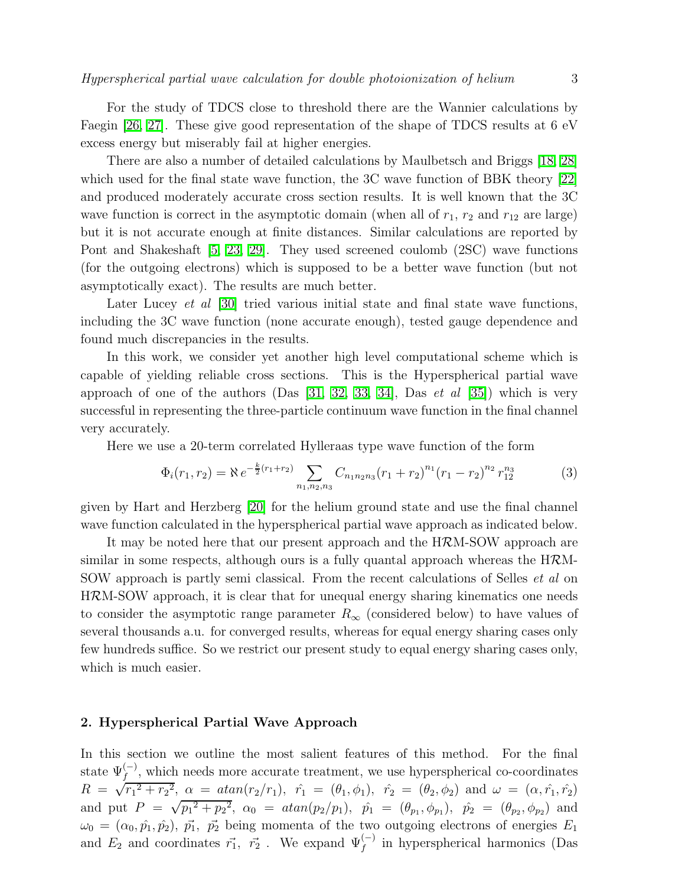For the study of TDCS close to threshold there are the Wannier calculations by Faegin [\[26,](#page-9-25) [27\]](#page-9-26). These give good representation of the shape of TDCS results at 6 eV excess energy but miserably fail at higher energies.

There are also a number of detailed calculations by Maulbetsch and Briggs [\[18,](#page-9-17) [28\]](#page-9-27) which used for the final state wave function, the 3C wave function of BBK theory [\[22\]](#page-9-21) and produced moderately accurate cross section results. It is well known that the 3C wave function is correct in the asymptotic domain (when all of  $r_1$ ,  $r_2$  and  $r_{12}$  are large) but it is not accurate enough at finite distances. Similar calculations are reported by Pont and Shakeshaft [\[5,](#page-9-4) [23,](#page-9-22) [29\]](#page-9-28). They used screened coulomb (2SC) wave functions (for the outgoing electrons) which is supposed to be a better wave function (but not asymptotically exact). The results are much better.

Later Lucey *et al* [\[30\]](#page-9-29) tried various initial state and final state wave functions, including the 3C wave function (none accurate enough), tested gauge dependence and found much discrepancies in the results.

In this work, we consider yet another high level computational scheme which is capable of yielding reliable cross sections. This is the Hyperspherical partial wave approach of one of the authors  $(Das [31, 32, 33, 34], Das et al [35])$  $(Das [31, 32, 33, 34], Das et al [35])$  $(Das [31, 32, 33, 34], Das et al [35])$  $(Das [31, 32, 33, 34], Das et al [35])$  $(Das [31, 32, 33, 34], Das et al [35])$  $(Das [31, 32, 33, 34], Das et al [35])$  $(Das [31, 32, 33, 34], Das et al [35])$  $(Das [31, 32, 33, 34], Das et al [35])$  which is very successful in representing the three-particle continuum wave function in the final channel very accurately.

Here we use a 20-term correlated Hylleraas type wave function of the form

$$
\Phi_i(r_1, r_2) = \aleph e^{-\frac{k}{2}(r_1 + r_2)} \sum_{n_1, n_2, n_3} C_{n_1 n_2 n_3} (r_1 + r_2)^{n_1} (r_1 - r_2)^{n_2} r_{12}^{n_3}
$$
\n(3)

given by Hart and Herzberg [\[20\]](#page-9-19) for the helium ground state and use the final channel wave function calculated in the hyperspherical partial wave approach as indicated below.

It may be noted here that our present approach and the HRM-SOW approach are similar in some respects, although ours is a fully quantal approach whereas the HRM-SOW approach is partly semi classical. From the recent calculations of Selles et al on HRM-SOW approach, it is clear that for unequal energy sharing kinematics one needs to consider the asymptotic range parameter  $R_{\infty}$  (considered below) to have values of several thousands a.u. for converged results, whereas for equal energy sharing cases only few hundreds suffice. So we restrict our present study to equal energy sharing cases only, which is much easier.

#### 2. Hyperspherical Partial Wave Approach

In this section we outline the most salient features of this method. For the final state  $\Psi_f^{(-)}$ , which needs more accurate treatment, we use hyperspherical co-coordinates  $R = \sqrt{r_1^2 + r_2^2}$ ,  $\alpha = \text{atan}(r_2/r_1)$ ,  $\hat{r_1} = (\theta_1, \phi_1)$ ,  $\hat{r_2} = (\theta_2, \phi_2)$  and  $\omega = (\alpha, \hat{r_1}, \hat{r_2})$ and put  $P = \sqrt{p_1^2 + p_2^2}$ ,  $\alpha_0 = \frac{atan(p_2/p_1)}{p_1}$ ,  $\hat{p_1} = (\theta_{p_1}, \phi_{p_1})$ ,  $\hat{p_2} = (\theta_{p_2}, \phi_{p_2})$  and  $\omega_0 = (\alpha_0, \hat{p}_1, \hat{p}_2), \ \vec{p}_1, \ \vec{p}_2$  being momenta of the two outgoing electrons of energies  $E_1$ and  $E_2$  and coordinates  $\vec{r_1}$ ,  $\vec{r_2}$ . We expand  $\Psi_f^{(-)}$  in hyperspherical harmonics (Das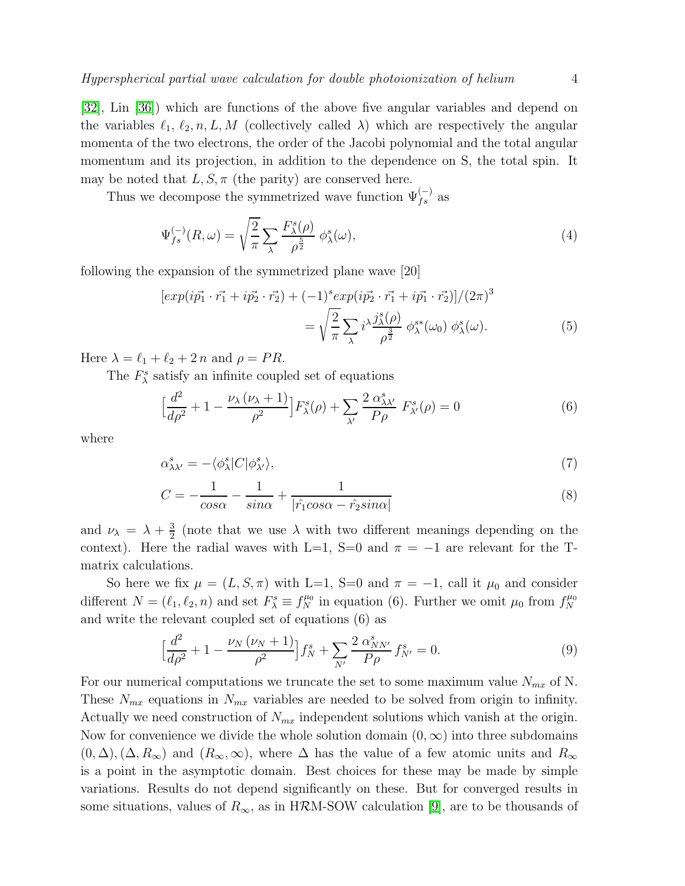[\[32\]](#page-9-31), Lin [\[36\]](#page-9-35)) which are functions of the above five angular variables and depend on the variables  $\ell_1, \ell_2, n, L, M$  (collectively called  $\lambda$ ) which are respectively the angular momenta of the two electrons, the order of the Jacobi polynomial and the total angular momentum and its projection, in addition to the dependence on S, the total spin. It may be noted that  $L, S, \pi$  (the parity) are conserved here.

Thus we decompose the symmetrized wave function  $\Psi_{fs}^{(-)}$  as

$$
\Psi_{fs}^{(-)}(R,\omega) = \sqrt{\frac{2}{\pi}} \sum_{\lambda} \frac{F_{\lambda}^s(\rho)}{\rho^{\frac{5}{2}}} \phi_{\lambda}^s(\omega),\tag{4}
$$

following the expansion of the symmetrized plane wave [20]

$$
[exp(i\vec{p_1} \cdot \vec{r_1} + i\vec{p_2} \cdot \vec{r_2}) + (-1)^s exp(i\vec{p_2} \cdot \vec{r_1} + i\vec{p_1} \cdot \vec{r_2})]/(2\pi)^3
$$
  
= 
$$
\sqrt{\frac{2}{\pi}} \sum_{\lambda} i^{\lambda} \frac{j_{\lambda}^s(\rho)}{\rho^{\frac{3}{2}}} \phi_{\lambda}^{s*}(\omega_0) \phi_{\lambda}^s(\omega).
$$
 (5)

Here  $\lambda = \ell_1 + \ell_2 + 2 n$  and  $\rho = PR$ .

The  $F_{\lambda}^{s}$  satisfy an infinite coupled set of equations

$$
\left[\frac{d^2}{d\rho^2} + 1 - \frac{\nu_\lambda(\nu_\lambda + 1)}{\rho^2}\right] F^s_\lambda(\rho) + \sum_{\lambda'} \frac{2 \alpha^s_{\lambda\lambda'}}{P\rho} F^s_{\lambda'}(\rho) = 0 \tag{6}
$$

where

$$
\alpha_{\lambda\lambda'}^s = -\langle \phi_\lambda^s | C | \phi_{\lambda'}^s \rangle,\tag{7}
$$

$$
C = -\frac{1}{\cos \alpha} - \frac{1}{\sin \alpha} + \frac{1}{|\hat{r_1} \cos \alpha - \hat{r_2} \sin \alpha|}
$$
(8)

and  $\nu_{\lambda} = \lambda + \frac{3}{2}$  $\frac{3}{2}$  (note that we use  $\lambda$  with two different meanings depending on the context). Here the radial waves with L=1, S=0 and  $\pi = -1$  are relevant for the Tmatrix calculations.

So here we fix  $\mu = (L, S, \pi)$  with L=1, S=0 and  $\pi = -1$ , call it  $\mu_0$  and consider different  $N = (\ell_1, \ell_2, n)$  and set  $F_{\lambda}^s \equiv f_N^{\mu_0}$  in equation (6). Further we omit  $\mu_0$  from  $f_N^{\mu_0}$ N and write the relevant coupled set of equations (6) as

$$
\left[\frac{d^2}{d\rho^2} + 1 - \frac{\nu_N(\nu_N + 1)}{\rho^2}\right] f_N^s + \sum_{N'} \frac{2 \alpha_{NN'}^s}{P\rho} f_{N'}^s = 0. \tag{9}
$$

For our numerical computations we truncate the set to some maximum value  $N_{mx}$  of N. These  $N_{mx}$  equations in  $N_{mx}$  variables are needed to be solved from origin to infinity. Actually we need construction of  $N_{mx}$  independent solutions which vanish at the origin. Now for convenience we divide the whole solution domain  $(0, \infty)$  into three subdomains  $(0, \Delta), (\Delta, R_{\infty})$  and  $(R_{\infty}, \infty)$ , where  $\Delta$  has the value of a few atomic units and  $R_{\infty}$ is a point in the asymptotic domain. Best choices for these may be made by simple variations. Results do not depend significantly on these. But for converged results in some situations, values of  $R_{\infty}$ , as in HRM-SOW calculation [\[9\]](#page-9-8), are to be thousands of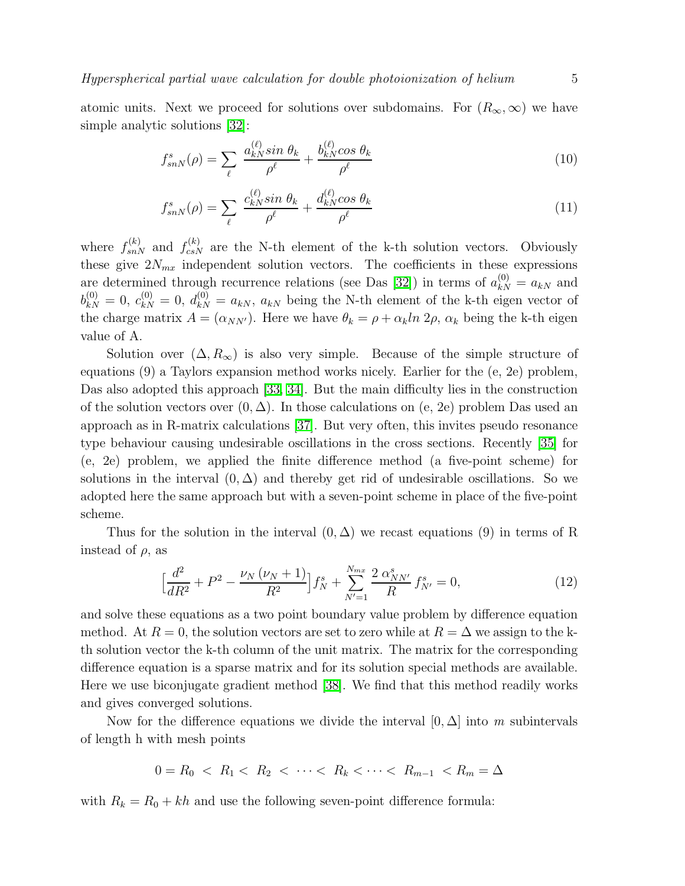atomic units. Next we proceed for solutions over subdomains. For  $(R_{\infty}, \infty)$  we have simple analytic solutions [\[32\]](#page-9-31):

$$
f_{snN}^s(\rho) = \sum_{\ell} \frac{a_{kN}^{(\ell)} \sin \theta_k}{\rho^{\ell}} + \frac{b_{kN}^{(\ell)} \cos \theta_k}{\rho^{\ell}} \tag{10}
$$

$$
f_{snN}^s(\rho) = \sum_{\ell} \frac{c_{kN}^{(\ell)} \sin \theta_k}{\rho^{\ell}} + \frac{d_{kN}^{(\ell)} \cos \theta_k}{\rho^{\ell}} \tag{11}
$$

where  $f_{snN}^{(k)}$  and  $f_{csN}^{(k)}$  are the N-th element of the k-th solution vectors. Obviously these give  $2N_{mx}$  independent solution vectors. The coefficients in these expressions are determined through recurrence relations (see Das [\[32\]](#page-9-31)) in terms of  $a_{kN}^{(0)} = a_{kN}$  and  $b_{kN}^{(0)} = 0, c_{kN}^{(0)} = 0, d_{kN}^{(0)} = a_{kN}, a_{kN}$  being the N-th element of the k-th eigen vector of the charge matrix  $A = (\alpha_{NN'})$ . Here we have  $\theta_k = \rho + \alpha_k \ln 2\rho$ ,  $\alpha_k$  being the k-th eigen value of A.

Solution over  $(\Delta, R_{\infty})$  is also very simple. Because of the simple structure of equations (9) a Taylors expansion method works nicely. Earlier for the (e, 2e) problem, Das also adopted this approach [\[33,](#page-9-32) [34\]](#page-9-33). But the main difficulty lies in the construction of the solution vectors over  $(0, \Delta)$ . In those calculations on (e, 2e) problem Das used an approach as in R-matrix calculations [\[37\]](#page-9-36). But very often, this invites pseudo resonance type behaviour causing undesirable oscillations in the cross sections. Recently [\[35\]](#page-9-34) for (e, 2e) problem, we applied the finite difference method (a five-point scheme) for solutions in the interval  $(0, \Delta)$  and thereby get rid of undesirable oscillations. So we adopted here the same approach but with a seven-point scheme in place of the five-point scheme.

Thus for the solution in the interval  $(0, \Delta)$  we recast equations (9) in terms of R instead of  $\rho$ , as

$$
\left[\frac{d^2}{dR^2} + P^2 - \frac{\nu_N(\nu_N + 1)}{R^2}\right]f_N^s + \sum_{N'=1}^{N_{mx}} \frac{2 \alpha_{NN'}^s}{R} f_{N'}^s = 0,\tag{12}
$$

and solve these equations as a two point boundary value problem by difference equation method. At  $R = 0$ , the solution vectors are set to zero while at  $R = \Delta$  we assign to the kth solution vector the k-th column of the unit matrix. The matrix for the corresponding difference equation is a sparse matrix and for its solution special methods are available. Here we use biconjugate gradient method [\[38\]](#page-9-37). We find that this method readily works and gives converged solutions.

Now for the difference equations we divide the interval  $[0, \Delta]$  into m subintervals of length h with mesh points

$$
0 = R_0 < R_1 < R_2 < \cdots < R_k < \cdots < R_{m-1} < R_m = \Delta
$$

with  $R_k = R_0 + kh$  and use the following seven-point difference formula: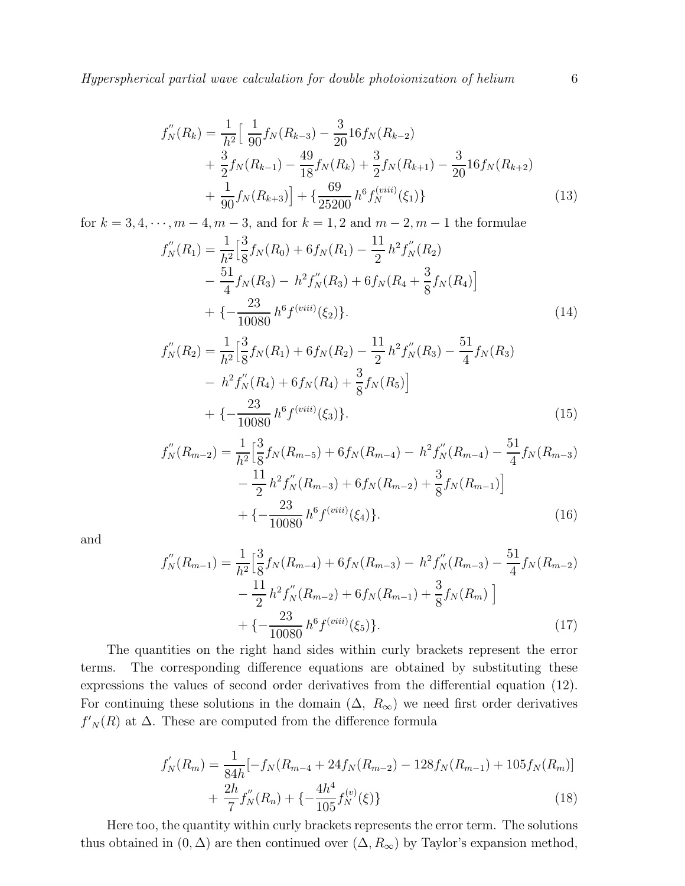Hyperspherical partial wave calculation for double photoionization of helium 6

$$
f''_N(R_k) = \frac{1}{h^2} \Big[ \frac{1}{90} f_N(R_{k-3}) - \frac{3}{20} 16 f_N(R_{k-2}) + \frac{3}{2} f_N(R_{k-1}) - \frac{49}{18} f_N(R_k) + \frac{3}{2} f_N(R_{k+1}) - \frac{3}{20} 16 f_N(R_{k+2}) + \frac{1}{90} f_N(R_{k+3}) \Big] + \{ \frac{69}{25200} h^6 f_N^{(viii)}(\xi_1) \}
$$
(13)

for  $k = 3, 4, \dots, m - 4, m - 3$ , and for  $k = 1, 2$  and  $m - 2, m - 1$  the formulae

$$
f''_N(R_1) = \frac{1}{h^2} \Big[ \frac{3}{8} f_N(R_0) + 6 f_N(R_1) - \frac{11}{2} h^2 f''_N(R_2) - \frac{51}{4} f_N(R_3) - h^2 f''_N(R_3) + 6 f_N(R_4 + \frac{3}{8} f_N(R_4) \Big] + \left\{ -\frac{23}{10080} h^6 f^{(viii)}(\xi_2) \right\}.
$$
 (14)

$$
f''_N(R_2) = \frac{1}{h^2} \Big[ \frac{3}{8} f_N(R_1) + 6 f_N(R_2) - \frac{11}{2} h^2 f''_N(R_3) - \frac{51}{4} f_N(R_3) - h^2 f''_N(R_4) + 6 f_N(R_4) + \frac{3}{8} f_N(R_5) \Big] + \left\{ -\frac{23}{10080} h^6 f^{(viii)}(\xi_3) \right\}.
$$
 (15)

$$
f''_N(R_{m-2}) = \frac{1}{h^2} \Big[ \frac{3}{8} f_N(R_{m-5}) + 6 f_N(R_{m-4}) - h^2 f'_N(R_{m-4}) - \frac{51}{4} f_N(R_{m-3}) - \frac{11}{2} h^2 f'_N(R_{m-3}) + 6 f_N(R_{m-2}) + \frac{3}{8} f_N(R_{m-1}) \Big] + \left\{ -\frac{23}{10080} h^6 f^{(viii)}(\xi_4) \right\}.
$$
 (16)

and

$$
f''_N(R_{m-1}) = \frac{1}{h^2} \Big[ \frac{3}{8} f_N(R_{m-4}) + 6 f_N(R_{m-3}) - h^2 f'_N(R_{m-3}) - \frac{51}{4} f_N(R_{m-2}) - \frac{11}{2} h^2 f'_N(R_{m-2}) + 6 f_N(R_{m-1}) + \frac{3}{8} f_N(R_m) \Big] + \left\{ -\frac{23}{10080} h^6 f^{(viii)}(\xi_5) \right\}.
$$
 (17)

The quantities on the right hand sides within curly brackets represent the error terms. The corresponding difference equations are obtained by substituting these expressions the values of second order derivatives from the differential equation (12). For continuing these solutions in the domain  $(\Delta, R_{\infty})$  we need first order derivatives  $f'_{N}(R)$  at  $\Delta$ . These are computed from the difference formula

$$
f'_{N}(R_{m}) = \frac{1}{84h} \left[ -f_{N}(R_{m-4} + 24f_{N}(R_{m-2}) - 128f_{N}(R_{m-1}) + 105f_{N}(R_{m}) \right] + \frac{2h}{7} f''_{N}(R_{n}) + \left\{ -\frac{4h^{4}}{105} f^{(v)}_{N}(\xi) \right\}
$$
\n(18)

Here too, the quantity within curly brackets represents the error term. The solutions thus obtained in  $(0, \Delta)$  are then continued over  $(\Delta, R_{\infty})$  by Taylor's expansion method,

7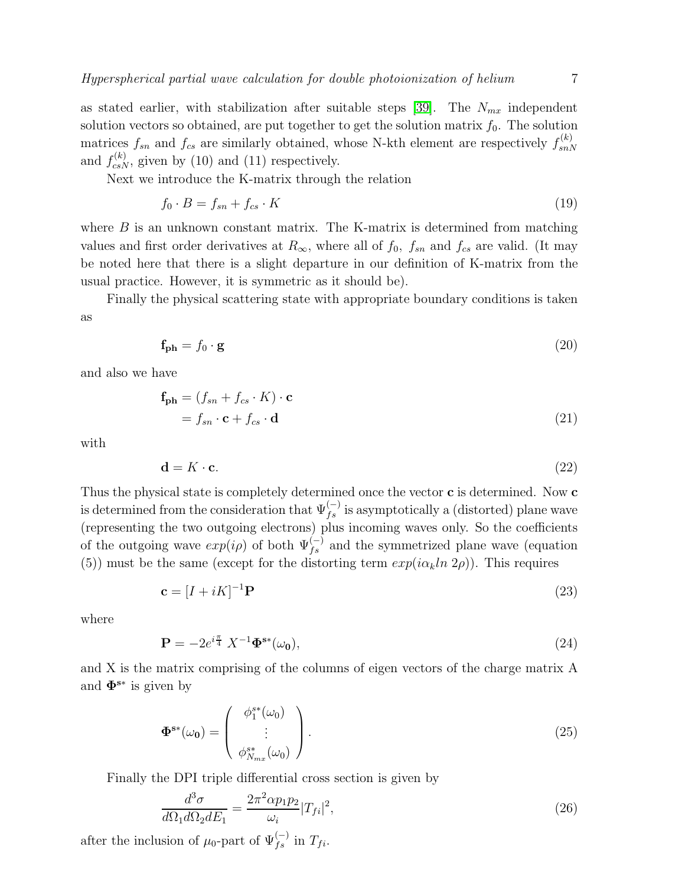as stated earlier, with stabilization after suitable steps [\[39\]](#page-9-38). The  $N_{mx}$  independent solution vectors so obtained, are put together to get the solution matrix  $f_0$ . The solution matrices  $f_{sn}$  and  $f_{cs}$  are similarly obtained, whose N-kth element are respectively  $f_{snl}^{(k)}$  $_{snN}$ and  $f_{csN}^{(k)}$ , given by (10) and (11) respectively.

Next we introduce the K-matrix through the relation

$$
f_0 \cdot B = f_{sn} + f_{cs} \cdot K \tag{19}
$$

where  $B$  is an unknown constant matrix. The K-matrix is determined from matching values and first order derivatives at  $R_{\infty}$ , where all of  $f_0$ ,  $f_{sn}$  and  $f_{cs}$  are valid. (It may be noted here that there is a slight departure in our definition of K-matrix from the usual practice. However, it is symmetric as it should be).

Finally the physical scattering state with appropriate boundary conditions is taken as

$$
\mathbf{f_{ph}} = f_0 \cdot \mathbf{g} \tag{20}
$$

and also we have

$$
\mathbf{f_{ph}} = (f_{sn} + f_{cs} \cdot K) \cdot \mathbf{c}
$$
  
=  $f_{sn} \cdot \mathbf{c} + f_{cs} \cdot \mathbf{d}$  (21)

with

$$
\mathbf{d} = K \cdot \mathbf{c}.\tag{22}
$$

Thus the physical state is completely determined once the vector **c** is determined. Now **c** is determined from the consideration that  $\Psi_{fs}^{(-)}$  is asymptotically a (distorted) plane wave (representing the two outgoing electrons) plus incoming waves only. So the coefficients of the outgoing wave  $exp(i\rho)$  of both  $\Psi_{fs}^{(-)}$  and the symmetrized plane wave (equation (5)) must be the same (except for the distorting term  $exp(i\alpha_k ln 2\rho)$ ). This requires

$$
\mathbf{c} = [I + iK]^{-1}\mathbf{P} \tag{23}
$$

where

$$
\mathbf{P} = -2e^{i\frac{\pi}{4}} X^{-1} \mathbf{\Phi}^{\mathbf{s}*}(\omega_0),\tag{24}
$$

and X is the matrix comprising of the columns of eigen vectors of the charge matrix A and  $\mathbf{\Phi}^{\mathbf{s}*}$  is given by

$$
\Phi^{\mathbf{s}\ast}(\omega_0) = \begin{pmatrix} \phi_1^{\mathbf{s}\ast}(\omega_0) \\ \vdots \\ \phi_{N_{mx}}^{\mathbf{s}\ast}(\omega_0) \end{pmatrix} . \tag{25}
$$

Finally the DPI triple differential cross section is given by

$$
\frac{d^3\sigma}{d\Omega_1 d\Omega_2 dE_1} = \frac{2\pi^2 \alpha p_1 p_2}{\omega_i} |T_{fi}|^2,\tag{26}
$$

after the inclusion of  $\mu_0$ -part of  $\Psi_{fs}^{(-)}$  in  $T_{fi}$ .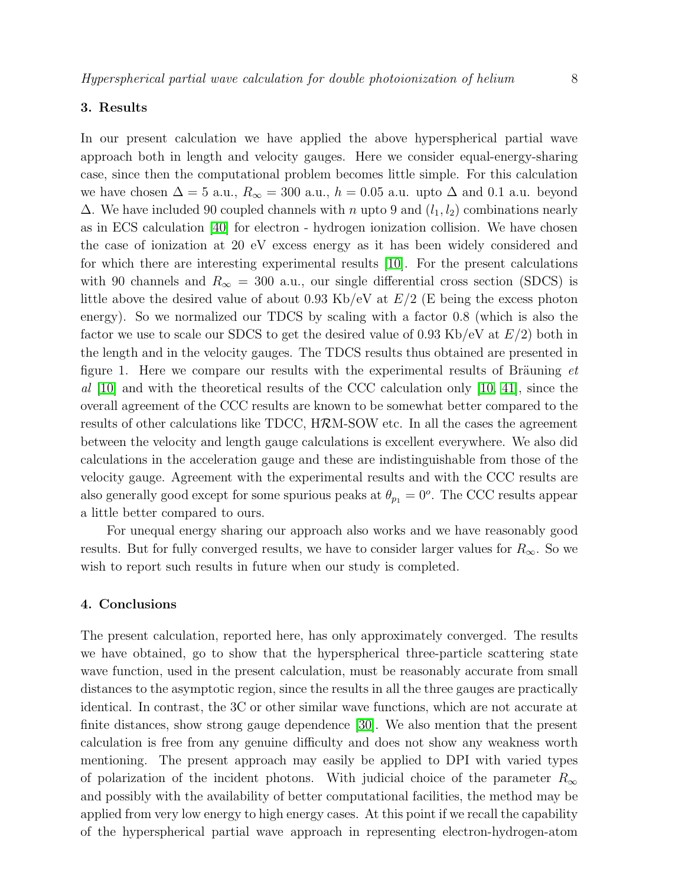### 3. Results

In our present calculation we have applied the above hyperspherical partial wave approach both in length and velocity gauges. Here we consider equal-energy-sharing case, since then the computational problem becomes little simple. For this calculation we have chosen  $\Delta = 5$  a.u.,  $R_{\infty} = 300$  a.u.,  $h = 0.05$  a.u. upto  $\Delta$  and 0.1 a.u. beyond  $\Delta$ . We have included 90 coupled channels with n upto 9 and  $(l_1, l_2)$  combinations nearly as in ECS calculation [\[40\]](#page-9-39) for electron - hydrogen ionization collision. We have chosen the case of ionization at 20 eV excess energy as it has been widely considered and for which there are interesting experimental results [\[10\]](#page-9-9). For the present calculations with 90 channels and  $R_{\infty} = 300$  a.u., our single differential cross section (SDCS) is little above the desired value of about 0.93 Kb/eV at  $E/2$  (E being the excess photon energy). So we normalized our TDCS by scaling with a factor 0.8 (which is also the factor we use to scale our SDCS to get the desired value of 0.93 Kb/eV at  $E/2$ ) both in the length and in the velocity gauges. The TDCS results thus obtained are presented in figure 1. Here we compare our results with the experimental results of Bräuning  $et$ al [\[10\]](#page-9-9) and with the theoretical results of the CCC calculation only [\[10,](#page-9-9) [41\]](#page-9-40), since the overall agreement of the CCC results are known to be somewhat better compared to the results of other calculations like TDCC, HRM-SOW etc. In all the cases the agreement between the velocity and length gauge calculations is excellent everywhere. We also did calculations in the acceleration gauge and these are indistinguishable from those of the velocity gauge. Agreement with the experimental results and with the CCC results are also generally good except for some spurious peaks at  $\theta_{p1} = 0^{\circ}$ . The CCC results appear a little better compared to ours.

For unequal energy sharing our approach also works and we have reasonably good results. But for fully converged results, we have to consider larger values for  $R_{\infty}$ . So we wish to report such results in future when our study is completed.

#### 4. Conclusions

The present calculation, reported here, has only approximately converged. The results we have obtained, go to show that the hyperspherical three-particle scattering state wave function, used in the present calculation, must be reasonably accurate from small distances to the asymptotic region, since the results in all the three gauges are practically identical. In contrast, the 3C or other similar wave functions, which are not accurate at finite distances, show strong gauge dependence [\[30\]](#page-9-29). We also mention that the present calculation is free from any genuine difficulty and does not show any weakness worth mentioning. The present approach may easily be applied to DPI with varied types of polarization of the incident photons. With judicial choice of the parameter  $R_{\infty}$ and possibly with the availability of better computational facilities, the method may be applied from very low energy to high energy cases. At this point if we recall the capability of the hyperspherical partial wave approach in representing electron-hydrogen-atom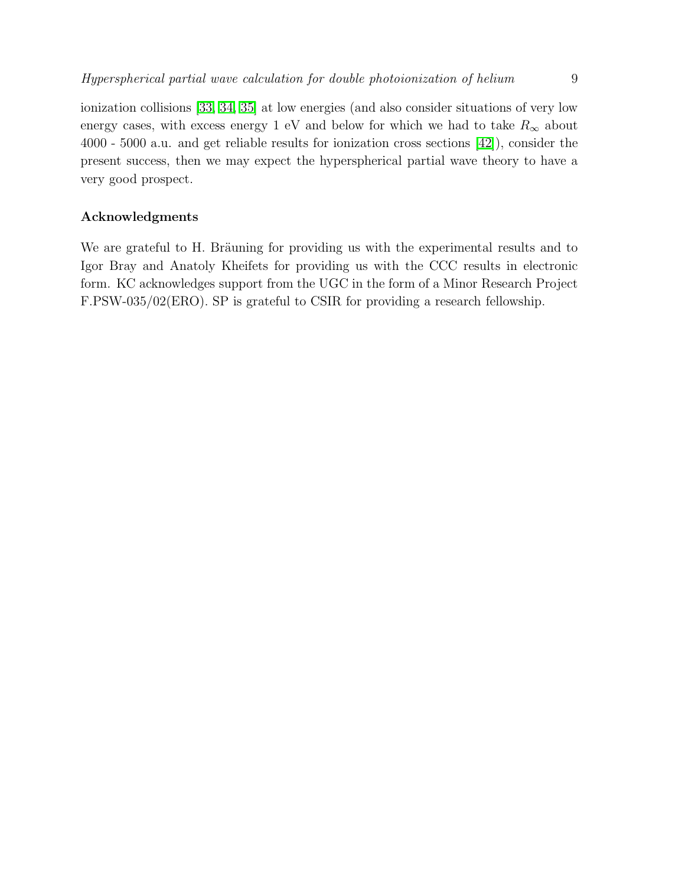ionization collisions [\[33,](#page-9-32) [34,](#page-9-33) [35\]](#page-9-34) at low energies (and also consider situations of very low energy cases, with excess energy 1 eV and below for which we had to take  $R_{\infty}$  about 4000 - 5000 a.u. and get reliable results for ionization cross sections [\[42\]](#page-9-41)), consider the present success, then we may expect the hyperspherical partial wave theory to have a very good prospect.

## Acknowledgments

We are grateful to H. Bräuning for providing us with the experimental results and to Igor Bray and Anatoly Kheifets for providing us with the CCC results in electronic form. KC acknowledges support from the UGC in the form of a Minor Research Project F.PSW-035/02(ERO). SP is grateful to CSIR for providing a research fellowship.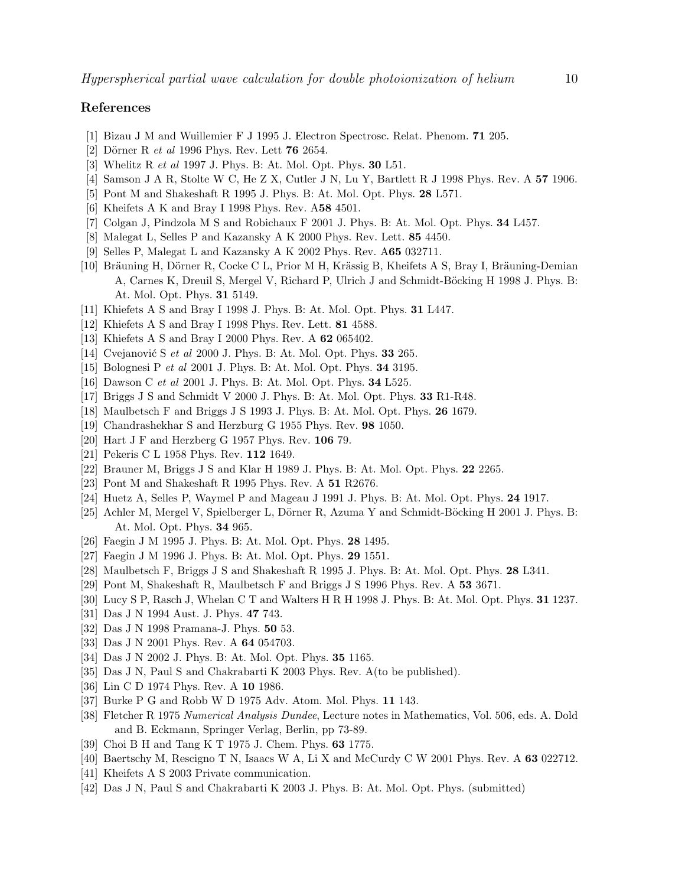## <span id="page-9-1"></span><span id="page-9-0"></span>References

- [1] Bizau J M and Wuillemier F J 1995 J. Electron Spectrosc. Relat. Phenom. 71 205.
- <span id="page-9-2"></span>[2] Dörner R et al 1996 Phys. Rev. Lett  $76\,2654$ .
- <span id="page-9-3"></span>[3] Whelitz R et al 1997 J. Phys. B: At. Mol. Opt. Phys. 30 L51.
- <span id="page-9-4"></span>[4] Samson J A R, Stolte W C, He Z X, Cutler J N, Lu Y, Bartlett R J 1998 Phys. Rev. A 57 1906.
- <span id="page-9-5"></span>[5] Pont M and Shakeshaft R 1995 J. Phys. B: At. Mol. Opt. Phys. 28 L571.
- <span id="page-9-6"></span>[6] Kheifets A K and Bray I 1998 Phys. Rev. A58 4501.
- <span id="page-9-7"></span>[7] Colgan J, Pindzola M S and Robichaux F 2001 J. Phys. B: At. Mol. Opt. Phys. 34 L457.
- [8] Malegat L, Selles P and Kazansky A K 2000 Phys. Rev. Lett. 85 4450.
- [9] Selles P, Malegat L and Kazansky A K 2002 Phys. Rev. A65 032711.
- <span id="page-9-9"></span><span id="page-9-8"></span>[10] Bräuning H, Dörner R, Cocke C L, Prior M H, Krässig B, Kheifets A S, Bray I, Bräuning-Demian A, Carnes K, Dreuil S, Mergel V, Richard P, Ulrich J and Schmidt-Böcking H 1998 J. Phys. B: At. Mol. Opt. Phys. 31 5149.
- <span id="page-9-11"></span><span id="page-9-10"></span>[11] Khiefets A S and Bray I 1998 J. Phys. B: At. Mol. Opt. Phys. 31 L447.
- <span id="page-9-12"></span>[12] Khiefets A S and Bray I 1998 Phys. Rev. Lett. **81** 4588.
- <span id="page-9-13"></span>[13] Khiefets A S and Bray I 2000 Phys. Rev. A 62 065402.
- <span id="page-9-14"></span>[14] Cvejanović S et al 2000 J. Phys. B: At. Mol. Opt. Phys. 33 265.
- <span id="page-9-15"></span>[15] Bolognesi P et al 2001 J. Phys. B: At. Mol. Opt. Phys. 34 3195.
- <span id="page-9-16"></span>[16] Dawson C et al 2001 J. Phys. B: At. Mol. Opt. Phys. 34 L525.
- <span id="page-9-17"></span>[17] Briggs J S and Schmidt V 2000 J. Phys. B: At. Mol. Opt. Phys. 33 R1-R48.
- <span id="page-9-18"></span>[18] Maulbetsch F and Briggs J S 1993 J. Phys. B: At. Mol. Opt. Phys. 26 1679.
- <span id="page-9-19"></span>[19] Chandrashekhar S and Herzburg G 1955 Phys. Rev. 98 1050.
- <span id="page-9-20"></span>[20] Hart J F and Herzberg G 1957 Phys. Rev. 106 79.
- <span id="page-9-21"></span>[21] Pekeris C L 1958 Phys. Rev. 112 1649.
- <span id="page-9-22"></span>[22] Brauner M, Briggs J S and Klar H 1989 J. Phys. B: At. Mol. Opt. Phys. 22 2265.
- <span id="page-9-23"></span>[23] Pont M and Shakeshaft R 1995 Phys. Rev. A 51 R2676.
- <span id="page-9-24"></span>[24] Huetz A, Selles P, Waymel P and Mageau J 1991 J. Phys. B: At. Mol. Opt. Phys. 24 1917.
- <span id="page-9-25"></span>[25] Achler M, Mergel V, Spielberger L, Dörner R, Azuma Y and Schmidt-Böcking H 2001 J. Phys. B: At. Mol. Opt. Phys. 34 965.
- <span id="page-9-26"></span>[26] Faegin J M 1995 J. Phys. B: At. Mol. Opt. Phys. 28 1495.
- <span id="page-9-27"></span>[27] Faegin J M 1996 J. Phys. B: At. Mol. Opt. Phys. 29 1551.
- <span id="page-9-28"></span>[28] Maulbetsch F, Briggs J S and Shakeshaft R 1995 J. Phys. B: At. Mol. Opt. Phys. 28 L341.
- <span id="page-9-29"></span>[29] Pont M, Shakeshaft R, Maulbetsch F and Briggs J S 1996 Phys. Rev. A 53 3671.
- <span id="page-9-30"></span>[30] Lucy S P, Rasch J, Whelan C T and Walters H R H 1998 J. Phys. B: At. Mol. Opt. Phys. 31 1237.
- <span id="page-9-31"></span>[31] Das J N 1994 Aust. J. Phys. 47 743.
- <span id="page-9-32"></span>[32] Das J N 1998 Pramana-J. Phys. 50 53.
- <span id="page-9-33"></span>[33] Das J N 2001 Phys. Rev. A 64 054703.
- <span id="page-9-34"></span>[34] Das J N 2002 J. Phys. B: At. Mol. Opt. Phys. 35 1165.
- <span id="page-9-35"></span>[35] Das J N, Paul S and Chakrabarti K 2003 Phys. Rev. A(to be published).
- <span id="page-9-36"></span>[36] Lin C D 1974 Phys. Rev. A 10 1986.
- <span id="page-9-37"></span>[37] Burke P G and Robb W D 1975 Adv. Atom. Mol. Phys. 11 143.
- [38] Fletcher R 1975 Numerical Analysis Dundee, Lecture notes in Mathematics, Vol. 506, eds. A. Dold and B. Eckmann, Springer Verlag, Berlin, pp 73-89.
- <span id="page-9-39"></span><span id="page-9-38"></span>[39] Choi B H and Tang K T 1975 J. Chem. Phys. 63 1775.
- <span id="page-9-40"></span>[40] Baertschy M, Rescigno T N, Isaacs W A, Li X and McCurdy C W 2001 Phys. Rev. A 63 022712.
- <span id="page-9-41"></span>[41] Kheifets A S 2003 Private communication.
- [42] Das J N, Paul S and Chakrabarti K 2003 J. Phys. B: At. Mol. Opt. Phys. (submitted)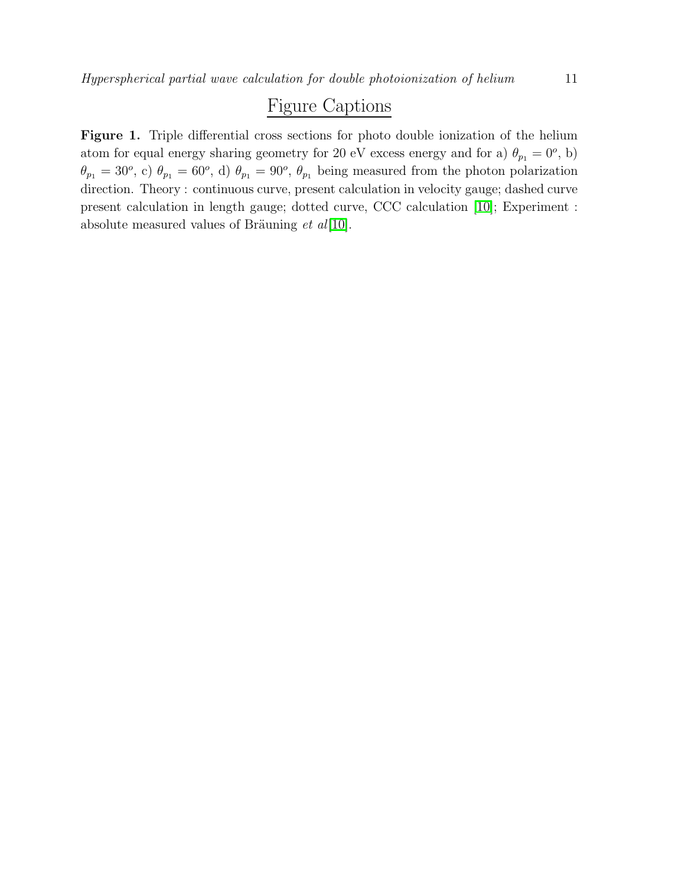## Figure Captions

Figure 1. Triple differential cross sections for photo double ionization of the helium atom for equal energy sharing geometry for 20 eV excess energy and for a)  $\theta_{p_1} = 0^o$ , b)  $\theta_{p_1} = 30^o$ , c)  $\theta_{p_1} = 60^o$ , d)  $\theta_{p_1} = 90^o$ ,  $\theta_{p_1}$  being measured from the photon polarization direction. Theory : continuous curve, present calculation in velocity gauge; dashed curve present calculation in length gauge; dotted curve, CCC calculation [\[10\]](#page-9-9); Experiment : absolute measured values of Bräuning  $et al[10]$  $et al[10]$ .